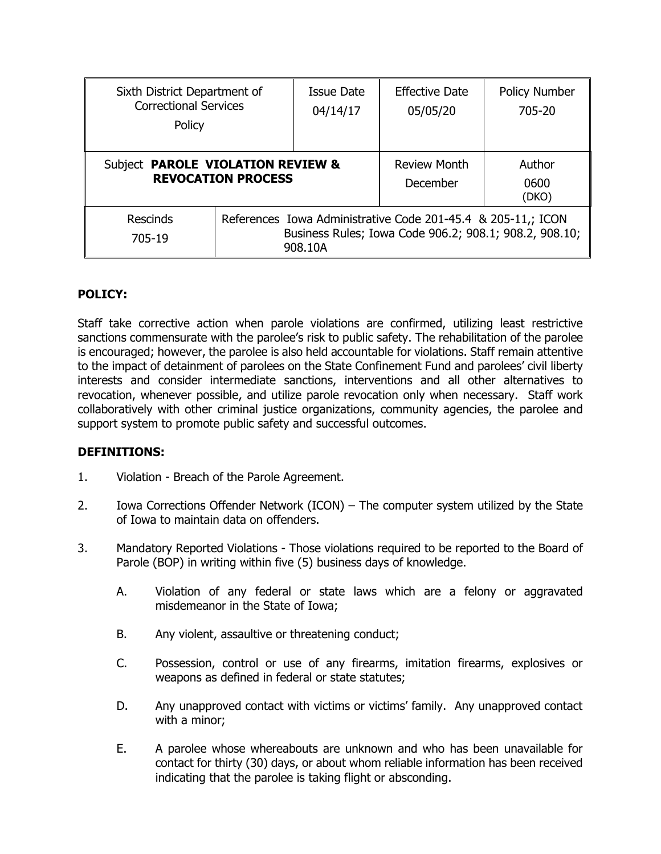| Sixth District Department of<br><b>Correctional Services</b><br>Policy |                                                                                                                                   | Issue Date<br>04/14/17 | <b>Effective Date</b><br>05/05/20 | <b>Policy Number</b><br>705-20 |
|------------------------------------------------------------------------|-----------------------------------------------------------------------------------------------------------------------------------|------------------------|-----------------------------------|--------------------------------|
| Subject PAROLE VIOLATION REVIEW &<br><b>REVOCATION PROCESS</b>         |                                                                                                                                   |                        | Review Month<br>December          | Author<br>0600<br>(DKO)        |
| <b>Rescinds</b><br>705-19                                              | References Iowa Administrative Code 201-45.4 & 205-11,; ICON<br>Business Rules; Iowa Code 906.2; 908.1; 908.2, 908.10;<br>908.10A |                        |                                   |                                |

# **POLICY:**

Staff take corrective action when parole violations are confirmed, utilizing least restrictive sanctions commensurate with the parolee's risk to public safety. The rehabilitation of the parolee is encouraged; however, the parolee is also held accountable for violations. Staff remain attentive to the impact of detainment of parolees on the State Confinement Fund and parolees' civil liberty interests and consider intermediate sanctions, interventions and all other alternatives to revocation, whenever possible, and utilize parole revocation only when necessary. Staff work collaboratively with other criminal justice organizations, community agencies, the parolee and support system to promote public safety and successful outcomes.

## **DEFINITIONS:**

- 1. Violation Breach of the Parole Agreement.
- 2. Iowa Corrections Offender Network (ICON) The computer system utilized by the State of Iowa to maintain data on offenders.
- 3. Mandatory Reported Violations Those violations required to be reported to the Board of Parole (BOP) in writing within five (5) business days of knowledge.
	- A. Violation of any federal or state laws which are a felony or aggravated misdemeanor in the State of Iowa;
	- B. Any violent, assaultive or threatening conduct;
	- C. Possession, control or use of any firearms, imitation firearms, explosives or weapons as defined in federal or state statutes;
	- D. Any unapproved contact with victims or victims' family. Any unapproved contact with a minor;
	- E. A parolee whose whereabouts are unknown and who has been unavailable for contact for thirty (30) days, or about whom reliable information has been received indicating that the parolee is taking flight or absconding.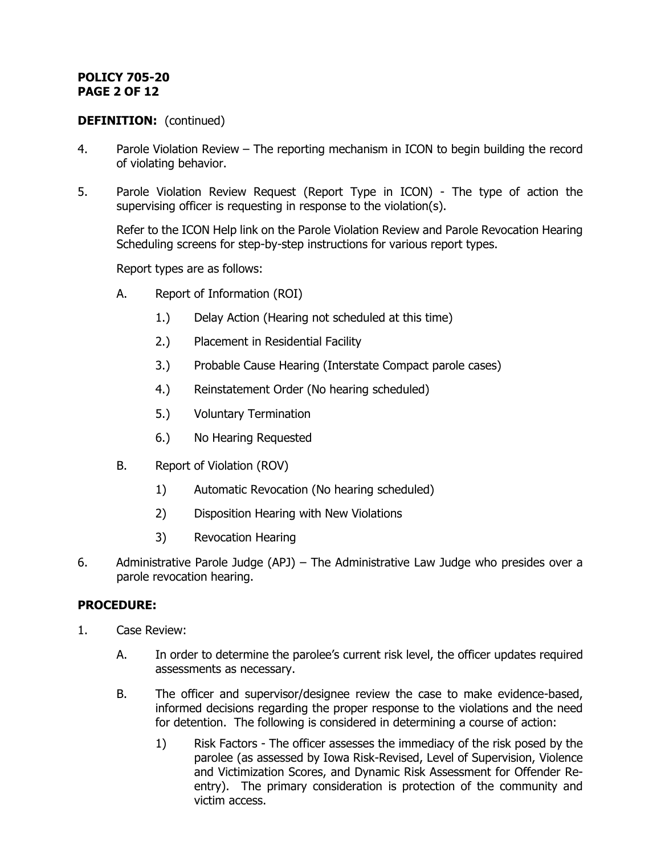# **POLICY 705-20 PAGE 2 OF 12**

## **DEFINITION:** (continued)

- 4. Parole Violation Review The reporting mechanism in ICON to begin building the record of violating behavior.
- 5. Parole Violation Review Request (Report Type in ICON) The type of action the supervising officer is requesting in response to the violation(s).

Refer to the ICON Help link on the Parole Violation Review and Parole Revocation Hearing Scheduling screens for step-by-step instructions for various report types.

Report types are as follows:

- A. Report of Information (ROI)
	- 1.) Delay Action (Hearing not scheduled at this time)
	- 2.) Placement in Residential Facility
	- 3.) Probable Cause Hearing (Interstate Compact parole cases)
	- 4.) Reinstatement Order (No hearing scheduled)
	- 5.) Voluntary Termination
	- 6.) No Hearing Requested
- B. Report of Violation (ROV)
	- 1) Automatic Revocation (No hearing scheduled)
	- 2) Disposition Hearing with New Violations
	- 3) Revocation Hearing
- 6. Administrative Parole Judge (APJ) The Administrative Law Judge who presides over a parole revocation hearing.

## **PROCEDURE:**

- 1. Case Review:
	- A. In order to determine the parolee's current risk level, the officer updates required assessments as necessary.
	- B. The officer and supervisor/designee review the case to make evidence-based, informed decisions regarding the proper response to the violations and the need for detention. The following is considered in determining a course of action:
		- 1) Risk Factors The officer assesses the immediacy of the risk posed by the parolee (as assessed by Iowa Risk-Revised, Level of Supervision, Violence and Victimization Scores, and Dynamic Risk Assessment for Offender Reentry). The primary consideration is protection of the community and victim access.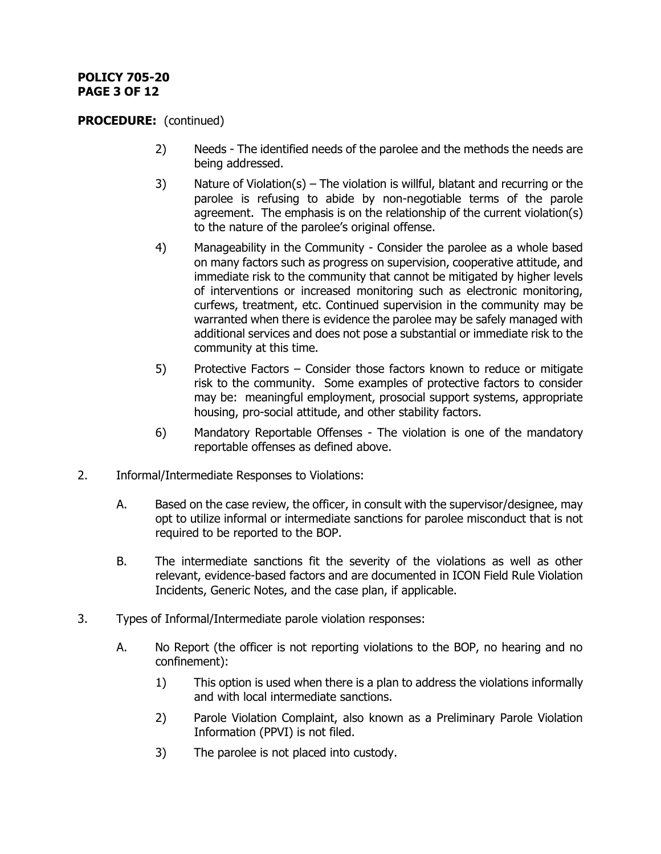# **POLICY 705-20 PAGE 3 OF 12**

- 2) Needs The identified needs of the parolee and the methods the needs are being addressed.
- 3) Nature of Violation(s) The violation is willful, blatant and recurring or the parolee is refusing to abide by non-negotiable terms of the parole agreement. The emphasis is on the relationship of the current violation(s) to the nature of the parolee's original offense.
- 4) Manageability in the Community Consider the parolee as a whole based on many factors such as progress on supervision, cooperative attitude, and immediate risk to the community that cannot be mitigated by higher levels of interventions or increased monitoring such as electronic monitoring, curfews, treatment, etc. Continued supervision in the community may be warranted when there is evidence the parolee may be safely managed with additional services and does not pose a substantial or immediate risk to the community at this time.
- 5) Protective Factors Consider those factors known to reduce or mitigate risk to the community. Some examples of protective factors to consider may be: meaningful employment, prosocial support systems, appropriate housing, pro-social attitude, and other stability factors.
- 6) Mandatory Reportable Offenses The violation is one of the mandatory reportable offenses as defined above.
- 2. Informal/Intermediate Responses to Violations:
	- A. Based on the case review, the officer, in consult with the supervisor/designee, may opt to utilize informal or intermediate sanctions for parolee misconduct that is not required to be reported to the BOP.
	- B. The intermediate sanctions fit the severity of the violations as well as other relevant, evidence-based factors and are documented in ICON Field Rule Violation Incidents, Generic Notes, and the case plan, if applicable.
- 3. Types of Informal/Intermediate parole violation responses:
	- A. No Report (the officer is not reporting violations to the BOP, no hearing and no confinement):
		- 1) This option is used when there is a plan to address the violations informally and with local intermediate sanctions.
		- 2) Parole Violation Complaint, also known as a Preliminary Parole Violation Information (PPVI) is not filed.
		- 3) The parolee is not placed into custody.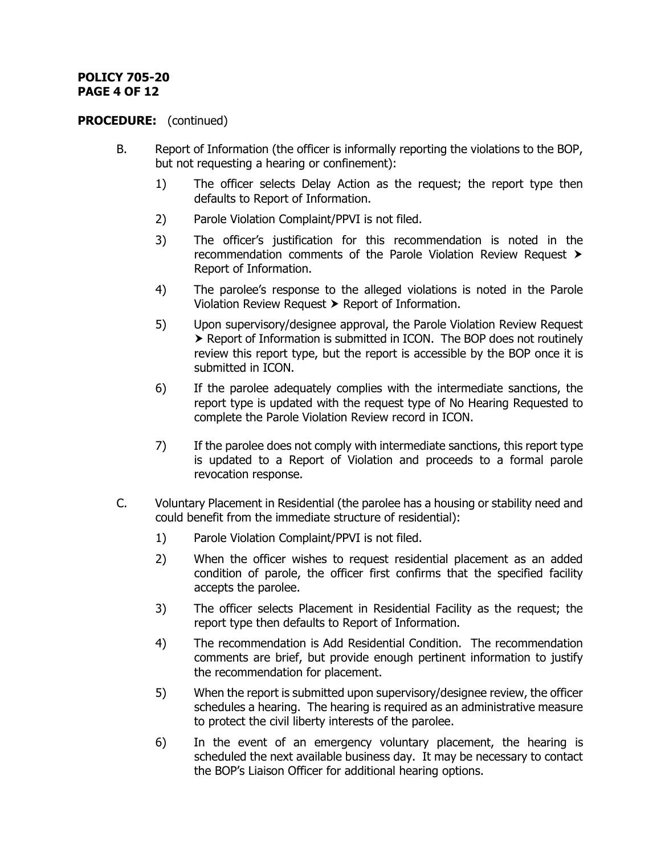# **POLICY 705-20 PAGE 4 OF 12**

- B. Report of Information (the officer is informally reporting the violations to the BOP, but not requesting a hearing or confinement):
	- 1) The officer selects Delay Action as the request; the report type then defaults to Report of Information.
	- 2) Parole Violation Complaint/PPVI is not filed.
	- 3) The officer's justification for this recommendation is noted in the recommendation comments of the Parole Violation Review Request Report of Information.
	- 4) The parolee's response to the alleged violations is noted in the Parole Violation Review Request  $\triangleright$  Report of Information.
	- 5) Upon supervisory/designee approval, the Parole Violation Review Request ▶ Report of Information is submitted in ICON. The BOP does not routinely review this report type, but the report is accessible by the BOP once it is submitted in ICON.
	- 6) If the parolee adequately complies with the intermediate sanctions, the report type is updated with the request type of No Hearing Requested to complete the Parole Violation Review record in ICON.
	- 7) If the parolee does not comply with intermediate sanctions, this report type is updated to a Report of Violation and proceeds to a formal parole revocation response.
- C. Voluntary Placement in Residential (the parolee has a housing or stability need and could benefit from the immediate structure of residential):
	- 1) Parole Violation Complaint/PPVI is not filed.
	- 2) When the officer wishes to request residential placement as an added condition of parole, the officer first confirms that the specified facility accepts the parolee.
	- 3) The officer selects Placement in Residential Facility as the request; the report type then defaults to Report of Information.
	- 4) The recommendation is Add Residential Condition. The recommendation comments are brief, but provide enough pertinent information to justify the recommendation for placement.
	- 5) When the report is submitted upon supervisory/designee review, the officer schedules a hearing. The hearing is required as an administrative measure to protect the civil liberty interests of the parolee.
	- 6) In the event of an emergency voluntary placement, the hearing is scheduled the next available business day. It may be necessary to contact the BOP's Liaison Officer for additional hearing options.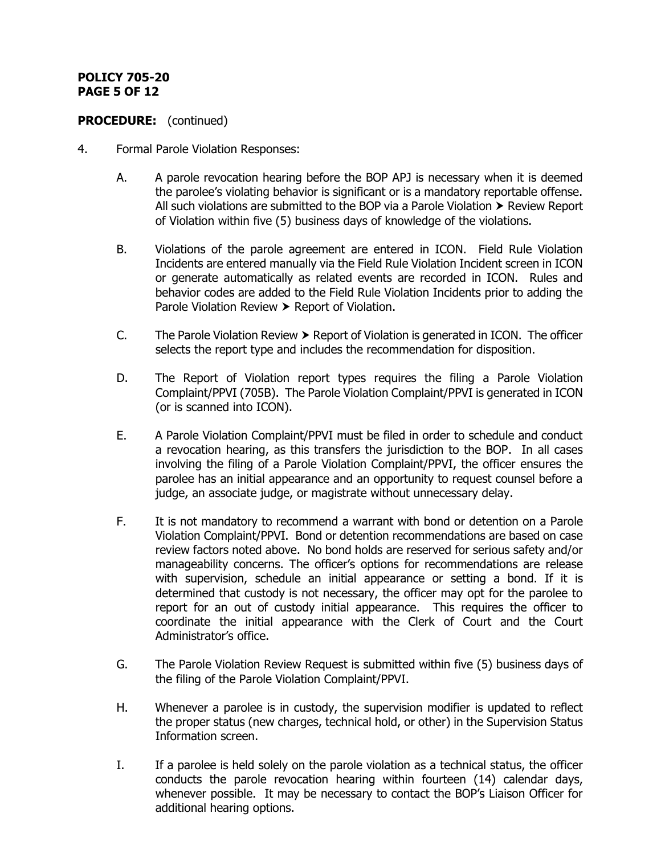# **POLICY 705-20 PAGE 5 OF 12**

- 4. Formal Parole Violation Responses:
	- A. A parole revocation hearing before the BOP APJ is necessary when it is deemed the parolee's violating behavior is significant or is a mandatory reportable offense. All such violations are submitted to the BOP via a Parole Violation  $\triangleright$  Review Report of Violation within five (5) business days of knowledge of the violations.
	- B. Violations of the parole agreement are entered in ICON. Field Rule Violation Incidents are entered manually via the Field Rule Violation Incident screen in ICON or generate automatically as related events are recorded in ICON. Rules and behavior codes are added to the Field Rule Violation Incidents prior to adding the Parole Violation Review > Report of Violation.
	- C. The Parole Violation Review  $\triangleright$  Report of Violation is generated in ICON. The officer selects the report type and includes the recommendation for disposition.
	- D. The Report of Violation report types requires the filing a Parole Violation Complaint/PPVI (705B). The Parole Violation Complaint/PPVI is generated in ICON (or is scanned into ICON).
	- E. A Parole Violation Complaint/PPVI must be filed in order to schedule and conduct a revocation hearing, as this transfers the jurisdiction to the BOP. In all cases involving the filing of a Parole Violation Complaint/PPVI, the officer ensures the parolee has an initial appearance and an opportunity to request counsel before a judge, an associate judge, or magistrate without unnecessary delay.
	- F. It is not mandatory to recommend a warrant with bond or detention on a Parole Violation Complaint/PPVI. Bond or detention recommendations are based on case review factors noted above. No bond holds are reserved for serious safety and/or manageability concerns. The officer's options for recommendations are release with supervision, schedule an initial appearance or setting a bond. If it is determined that custody is not necessary, the officer may opt for the parolee to report for an out of custody initial appearance. This requires the officer to coordinate the initial appearance with the Clerk of Court and the Court Administrator's office.
	- G. The Parole Violation Review Request is submitted within five (5) business days of the filing of the Parole Violation Complaint/PPVI.
	- H. Whenever a parolee is in custody, the supervision modifier is updated to reflect the proper status (new charges, technical hold, or other) in the Supervision Status Information screen.
	- I. If a parolee is held solely on the parole violation as a technical status, the officer conducts the parole revocation hearing within fourteen (14) calendar days, whenever possible. It may be necessary to contact the BOP's Liaison Officer for additional hearing options.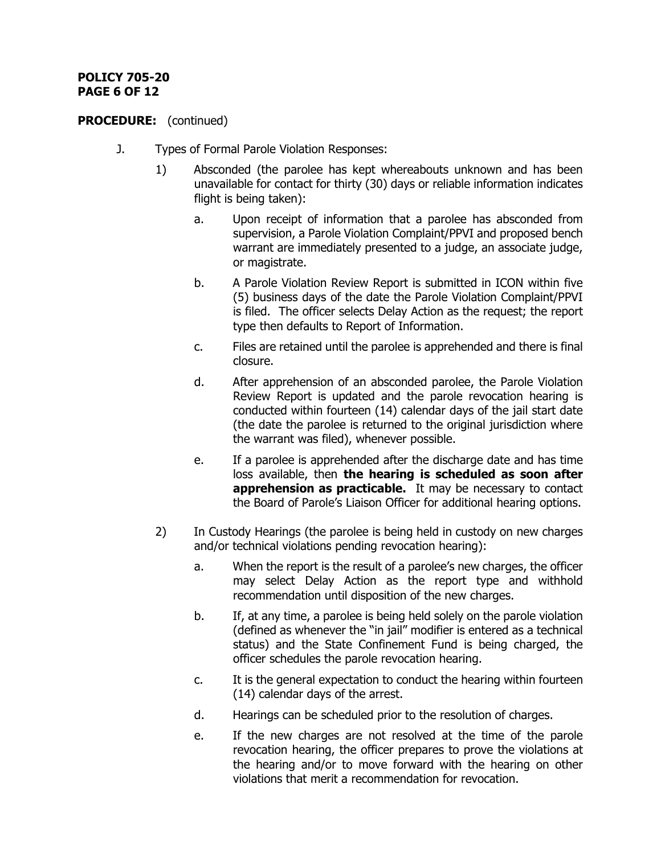# **POLICY 705-20 PAGE 6 OF 12**

- J. Types of Formal Parole Violation Responses:
	- 1) Absconded (the parolee has kept whereabouts unknown and has been unavailable for contact for thirty (30) days or reliable information indicates flight is being taken):
		- a. Upon receipt of information that a parolee has absconded from supervision, a Parole Violation Complaint/PPVI and proposed bench warrant are immediately presented to a judge, an associate judge, or magistrate.
		- b. A Parole Violation Review Report is submitted in ICON within five (5) business days of the date the Parole Violation Complaint/PPVI is filed. The officer selects Delay Action as the request; the report type then defaults to Report of Information.
		- c. Files are retained until the parolee is apprehended and there is final closure.
		- d. After apprehension of an absconded parolee, the Parole Violation Review Report is updated and the parole revocation hearing is conducted within fourteen (14) calendar days of the jail start date (the date the parolee is returned to the original jurisdiction where the warrant was filed), whenever possible.
		- e. If a parolee is apprehended after the discharge date and has time loss available, then **the hearing is scheduled as soon after apprehension as practicable.** It may be necessary to contact the Board of Parole's Liaison Officer for additional hearing options.
	- 2) In Custody Hearings (the parolee is being held in custody on new charges and/or technical violations pending revocation hearing):
		- a. When the report is the result of a parolee's new charges, the officer may select Delay Action as the report type and withhold recommendation until disposition of the new charges.
		- b. If, at any time, a parolee is being held solely on the parole violation (defined as whenever the "in jail" modifier is entered as a technical status) and the State Confinement Fund is being charged, the officer schedules the parole revocation hearing.
		- c. It is the general expectation to conduct the hearing within fourteen (14) calendar days of the arrest.
		- d. Hearings can be scheduled prior to the resolution of charges.
		- e. If the new charges are not resolved at the time of the parole revocation hearing, the officer prepares to prove the violations at the hearing and/or to move forward with the hearing on other violations that merit a recommendation for revocation.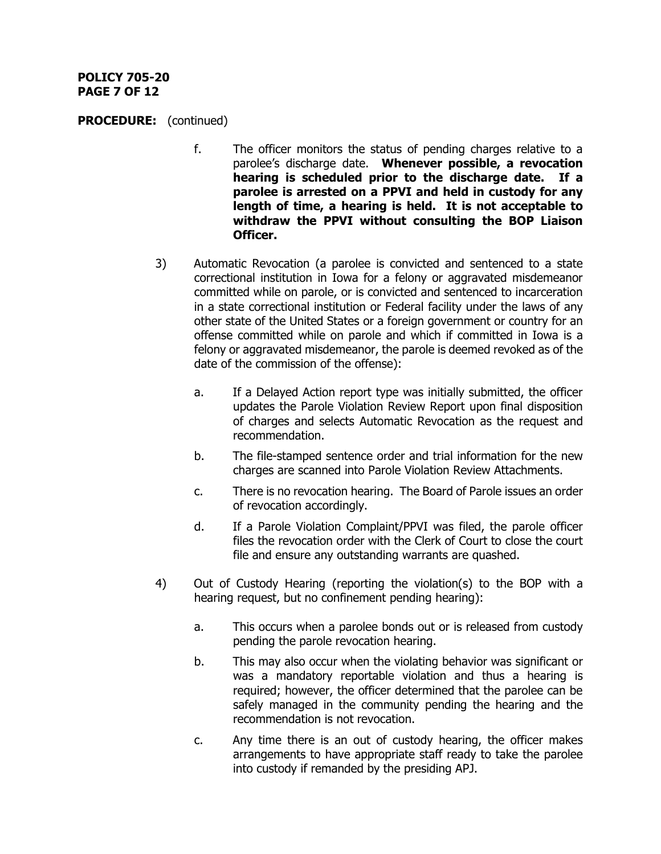## **POLICY 705-20 PAGE 7 OF 12**

- f. The officer monitors the status of pending charges relative to a parolee's discharge date. **Whenever possible, a revocation hearing is scheduled prior to the discharge date. If a parolee is arrested on a PPVI and held in custody for any length of time, a hearing is held. It is not acceptable to withdraw the PPVI without consulting the BOP Liaison Officer.**
- 3) Automatic Revocation (a parolee is convicted and sentenced to a state correctional institution in Iowa for a felony or aggravated misdemeanor committed while on parole, or is convicted and sentenced to incarceration in a state correctional institution or Federal facility under the laws of any other state of the United States or a foreign government or country for an offense committed while on parole and which if committed in Iowa is a felony or aggravated misdemeanor, the parole is deemed revoked as of the date of the commission of the offense):
	- a. If a Delayed Action report type was initially submitted, the officer updates the Parole Violation Review Report upon final disposition of charges and selects Automatic Revocation as the request and recommendation.
	- b. The file-stamped sentence order and trial information for the new charges are scanned into Parole Violation Review Attachments.
	- c. There is no revocation hearing. The Board of Parole issues an order of revocation accordingly.
	- d. If a Parole Violation Complaint/PPVI was filed, the parole officer files the revocation order with the Clerk of Court to close the court file and ensure any outstanding warrants are quashed.
- 4) Out of Custody Hearing (reporting the violation(s) to the BOP with a hearing request, but no confinement pending hearing):
	- a. This occurs when a parolee bonds out or is released from custody pending the parole revocation hearing.
	- b. This may also occur when the violating behavior was significant or was a mandatory reportable violation and thus a hearing is required; however, the officer determined that the parolee can be safely managed in the community pending the hearing and the recommendation is not revocation.
	- c. Any time there is an out of custody hearing, the officer makes arrangements to have appropriate staff ready to take the parolee into custody if remanded by the presiding APJ.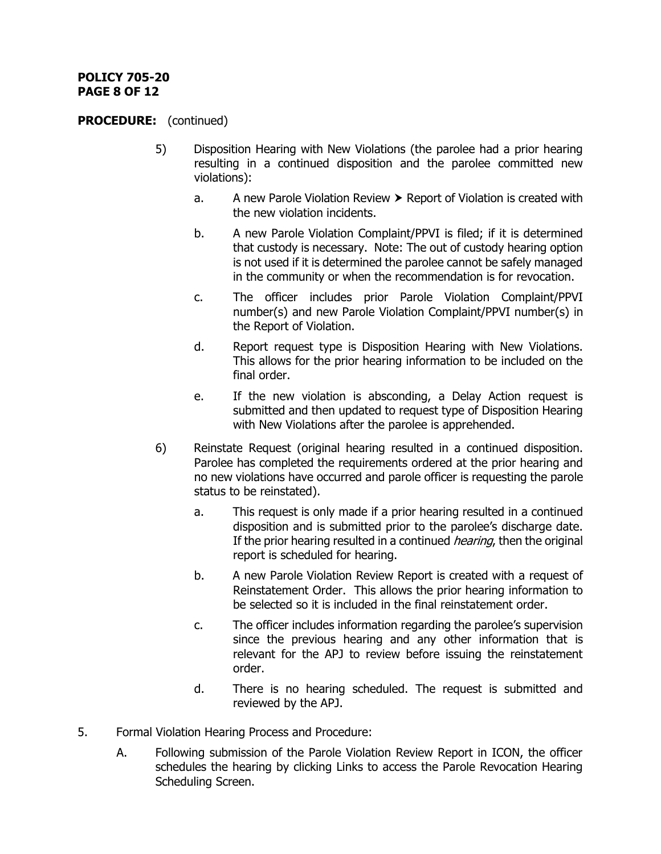# **POLICY 705-20 PAGE 8 OF 12**

- 5) Disposition Hearing with New Violations (the parolee had a prior hearing resulting in a continued disposition and the parolee committed new violations):
	- a. A new Parole Violation Review  $\triangleright$  Report of Violation is created with the new violation incidents.
	- b. A new Parole Violation Complaint/PPVI is filed; if it is determined that custody is necessary. Note: The out of custody hearing option is not used if it is determined the parolee cannot be safely managed in the community or when the recommendation is for revocation.
	- c. The officer includes prior Parole Violation Complaint/PPVI number(s) and new Parole Violation Complaint/PPVI number(s) in the Report of Violation.
	- d. Report request type is Disposition Hearing with New Violations. This allows for the prior hearing information to be included on the final order.
	- e. If the new violation is absconding, a Delay Action request is submitted and then updated to request type of Disposition Hearing with New Violations after the parolee is apprehended.
- 6) Reinstate Request (original hearing resulted in a continued disposition. Parolee has completed the requirements ordered at the prior hearing and no new violations have occurred and parole officer is requesting the parole status to be reinstated).
	- a. This request is only made if a prior hearing resulted in a continued disposition and is submitted prior to the parolee's discharge date. If the prior hearing resulted in a continued *hearing*, then the original report is scheduled for hearing.
	- b. A new Parole Violation Review Report is created with a request of Reinstatement Order. This allows the prior hearing information to be selected so it is included in the final reinstatement order.
	- c. The officer includes information regarding the parolee's supervision since the previous hearing and any other information that is relevant for the APJ to review before issuing the reinstatement order.
	- d. There is no hearing scheduled. The request is submitted and reviewed by the APJ.
- 5. Formal Violation Hearing Process and Procedure:
	- A. Following submission of the Parole Violation Review Report in ICON, the officer schedules the hearing by clicking Links to access the Parole Revocation Hearing Scheduling Screen.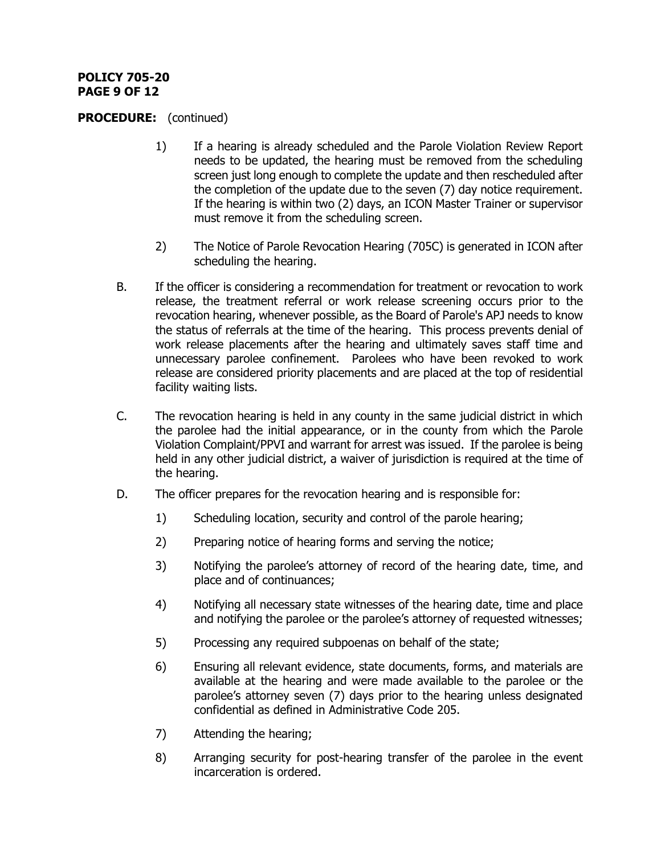# **POLICY 705-20 PAGE 9 OF 12**

- 1) If a hearing is already scheduled and the Parole Violation Review Report needs to be updated, the hearing must be removed from the scheduling screen just long enough to complete the update and then rescheduled after the completion of the update due to the seven (7) day notice requirement. If the hearing is within two (2) days, an ICON Master Trainer or supervisor must remove it from the scheduling screen.
- 2) The Notice of Parole Revocation Hearing (705C) is generated in ICON after scheduling the hearing.
- B. If the officer is considering a recommendation for treatment or revocation to work release, the treatment referral or work release screening occurs prior to the revocation hearing, whenever possible, as the Board of Parole's APJ needs to know the status of referrals at the time of the hearing. This process prevents denial of work release placements after the hearing and ultimately saves staff time and unnecessary parolee confinement. Parolees who have been revoked to work release are considered priority placements and are placed at the top of residential facility waiting lists.
- C. The revocation hearing is held in any county in the same judicial district in which the parolee had the initial appearance, or in the county from which the Parole Violation Complaint/PPVI and warrant for arrest was issued. If the parolee is being held in any other judicial district, a waiver of jurisdiction is required at the time of the hearing.
- D. The officer prepares for the revocation hearing and is responsible for:
	- 1) Scheduling location, security and control of the parole hearing;
	- 2) Preparing notice of hearing forms and serving the notice;
	- 3) Notifying the parolee's attorney of record of the hearing date, time, and place and of continuances;
	- 4) Notifying all necessary state witnesses of the hearing date, time and place and notifying the parolee or the parolee's attorney of requested witnesses;
	- 5) Processing any required subpoenas on behalf of the state;
	- 6) Ensuring all relevant evidence, state documents, forms, and materials are available at the hearing and were made available to the parolee or the parolee's attorney seven (7) days prior to the hearing unless designated confidential as defined in Administrative Code 205.
	- 7) Attending the hearing;
	- 8) Arranging security for post-hearing transfer of the parolee in the event incarceration is ordered.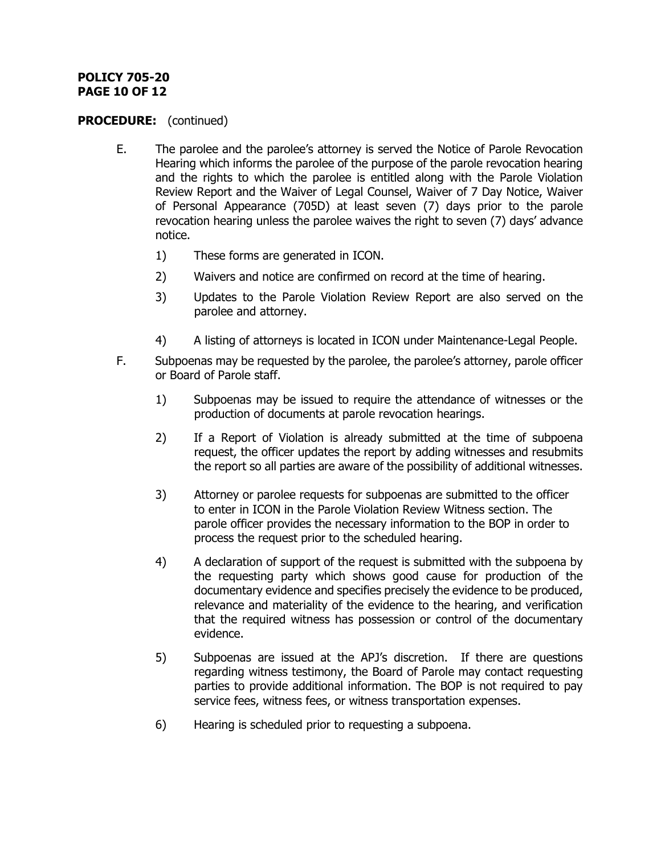# **POLICY 705-20 PAGE 10 OF 12**

- E. The parolee and the parolee's attorney is served the Notice of Parole Revocation Hearing which informs the parolee of the purpose of the parole revocation hearing and the rights to which the parolee is entitled along with the Parole Violation Review Report and the Waiver of Legal Counsel, Waiver of 7 Day Notice, Waiver of Personal Appearance (705D) at least seven (7) days prior to the parole revocation hearing unless the parolee waives the right to seven (7) days' advance notice.
	- 1) These forms are generated in ICON.
	- 2) Waivers and notice are confirmed on record at the time of hearing.
	- 3) Updates to the Parole Violation Review Report are also served on the parolee and attorney.
	- 4) A listing of attorneys is located in ICON under Maintenance-Legal People.
- F. Subpoenas may be requested by the parolee, the parolee's attorney, parole officer or Board of Parole staff.
	- 1) Subpoenas may be issued to require the attendance of witnesses or the production of documents at parole revocation hearings.
	- 2) If a Report of Violation is already submitted at the time of subpoena request, the officer updates the report by adding witnesses and resubmits the report so all parties are aware of the possibility of additional witnesses.
	- 3) Attorney or parolee requests for subpoenas are submitted to the officer to enter in ICON in the Parole Violation Review Witness section. The parole officer provides the necessary information to the BOP in order to process the request prior to the scheduled hearing.
	- 4) A declaration of support of the request is submitted with the subpoena by the requesting party which shows good cause for production of the documentary evidence and specifies precisely the evidence to be produced, relevance and materiality of the evidence to the hearing, and verification that the required witness has possession or control of the documentary evidence.
	- 5) Subpoenas are issued at the APJ's discretion. If there are questions regarding witness testimony, the Board of Parole may contact requesting parties to provide additional information. The BOP is not required to pay service fees, witness fees, or witness transportation expenses.
	- 6) Hearing is scheduled prior to requesting a subpoena.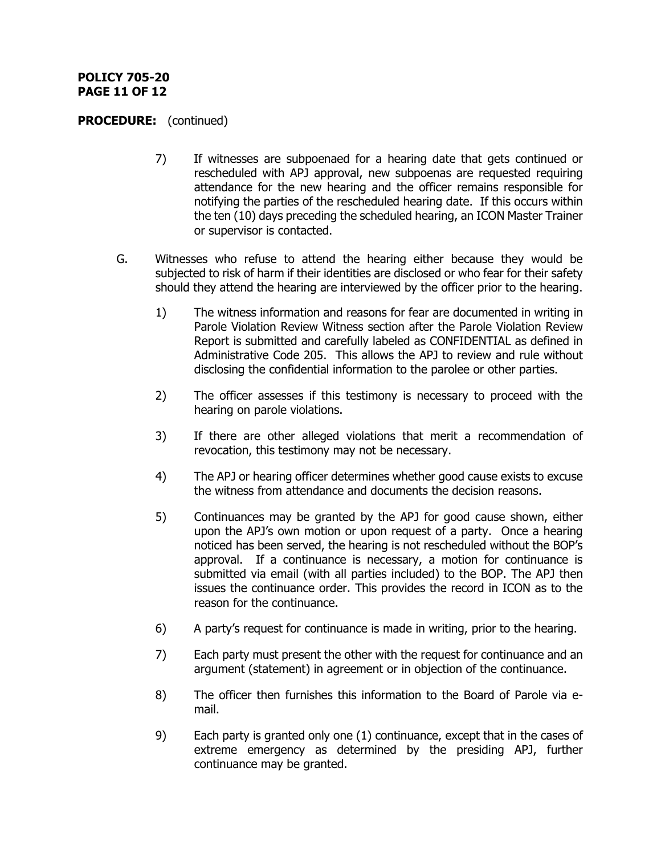## **POLICY 705-20 PAGE 11 OF 12**

- 7) If witnesses are subpoenaed for a hearing date that gets continued or rescheduled with APJ approval, new subpoenas are requested requiring attendance for the new hearing and the officer remains responsible for notifying the parties of the rescheduled hearing date. If this occurs within the ten (10) days preceding the scheduled hearing, an ICON Master Trainer or supervisor is contacted.
- G. Witnesses who refuse to attend the hearing either because they would be subjected to risk of harm if their identities are disclosed or who fear for their safety should they attend the hearing are interviewed by the officer prior to the hearing.
	- 1) The witness information and reasons for fear are documented in writing in Parole Violation Review Witness section after the Parole Violation Review Report is submitted and carefully labeled as CONFIDENTIAL as defined in Administrative Code 205. This allows the APJ to review and rule without disclosing the confidential information to the parolee or other parties.
	- 2) The officer assesses if this testimony is necessary to proceed with the hearing on parole violations.
	- 3) If there are other alleged violations that merit a recommendation of revocation, this testimony may not be necessary.
	- 4) The APJ or hearing officer determines whether good cause exists to excuse the witness from attendance and documents the decision reasons.
	- 5) Continuances may be granted by the APJ for good cause shown, either upon the APJ's own motion or upon request of a party. Once a hearing noticed has been served, the hearing is not rescheduled without the BOP's approval. If a continuance is necessary, a motion for continuance is submitted via email (with all parties included) to the BOP. The APJ then issues the continuance order. This provides the record in ICON as to the reason for the continuance.
	- 6) A party's request for continuance is made in writing, prior to the hearing.
	- 7) Each party must present the other with the request for continuance and an argument (statement) in agreement or in objection of the continuance.
	- 8) The officer then furnishes this information to the Board of Parole via email.
	- 9) Each party is granted only one (1) continuance, except that in the cases of extreme emergency as determined by the presiding APJ, further continuance may be granted.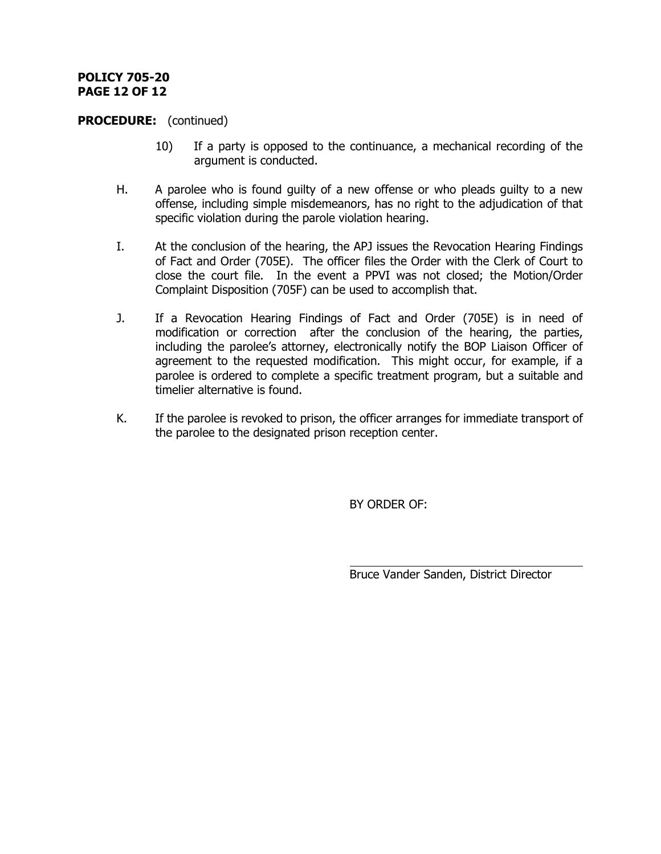## **POLICY 705-20 PAGE 12 OF 12**

#### **PROCEDURE:** (continued)

- 10) If a party is opposed to the continuance, a mechanical recording of the argument is conducted.
- H. A parolee who is found guilty of a new offense or who pleads guilty to a new offense, including simple misdemeanors, has no right to the adjudication of that specific violation during the parole violation hearing.
- I. At the conclusion of the hearing, the APJ issues the Revocation Hearing Findings of Fact and Order (705E). The officer files the Order with the Clerk of Court to close the court file. In the event a PPVI was not closed; the Motion/Order Complaint Disposition (705F) can be used to accomplish that.
- J. If a Revocation Hearing Findings of Fact and Order (705E) is in need of modification or correction after the conclusion of the hearing, the parties, including the parolee's attorney, electronically notify the BOP Liaison Officer of agreement to the requested modification. This might occur, for example, if a parolee is ordered to complete a specific treatment program, but a suitable and timelier alternative is found.
- K. If the parolee is revoked to prison, the officer arranges for immediate transport of the parolee to the designated prison reception center.

l

BY ORDER OF:

Bruce Vander Sanden, District Director